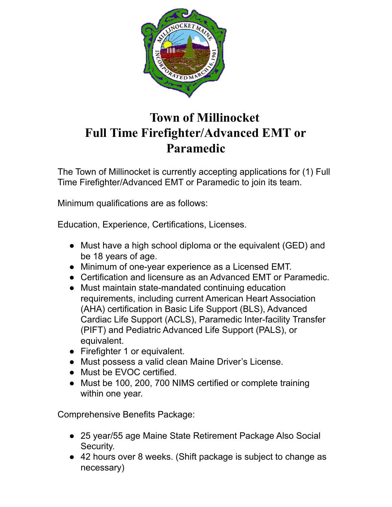

## **Town of Millinocket Full Time Firefighter/Advanced EMT or Paramedic**

The Town of Millinocket is currently accepting applications for (1) Full Time Firefighter/Advanced EMT or Paramedic to join its team.

Minimum qualifications are as follows:

Education, Experience, Certifications, Licenses.

- Must have a high school diploma or the equivalent (GED) and be 18 years of age.
- Minimum of one-year experience as a Licensed EMT.
- Certification and licensure as an Advanced EMT or Paramedic.
- Must maintain state-mandated continuing education requirements, including current American Heart Association (AHA) certification in Basic Life Support (BLS), Advanced Cardiac Life Support (ACLS), Paramedic Inter-facility Transfer (PIFT) and Pediatric Advanced Life Support (PALS), or equivalent.
- Firefighter 1 or equivalent.
- Must possess a valid clean Maine Driver's License.
- Must be EVOC certified.
- Must be 100, 200, 700 NIMS certified or complete training within one year.

Comprehensive Benefits Package:

- 25 year/55 age Maine State Retirement Package Also Social Security.
- 42 hours over 8 weeks. (Shift package is subject to change as necessary)